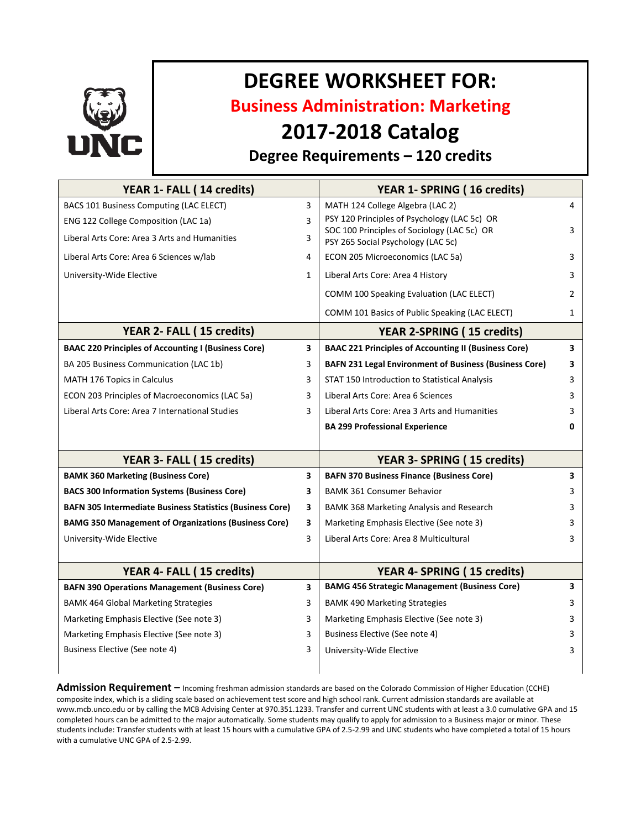

# **DEGREE WORKSHEET FOR:**

**Business Administration: Marketing**

# **2017-2018 Catalog**

## **Degree Requirements – 120 credits**

| YEAR 1- FALL (14 credits)                                        |              | YEAR 1- SPRING (16 credits)                                                       |                |
|------------------------------------------------------------------|--------------|-----------------------------------------------------------------------------------|----------------|
| BACS 101 Business Computing (LAC ELECT)                          | 3            | MATH 124 College Algebra (LAC 2)                                                  | 4              |
| ENG 122 College Composition (LAC 1a)                             | 3            | PSY 120 Principles of Psychology (LAC 5c) OR                                      |                |
| Liberal Arts Core: Area 3 Arts and Humanities                    | 3            | SOC 100 Principles of Sociology (LAC 5c) OR<br>PSY 265 Social Psychology (LAC 5c) | 3              |
| Liberal Arts Core: Area 6 Sciences w/lab                         | 4            | ECON 205 Microeconomics (LAC 5a)                                                  | 3              |
| University-Wide Elective                                         | $\mathbf{1}$ | Liberal Arts Core: Area 4 History                                                 | 3              |
|                                                                  |              | COMM 100 Speaking Evaluation (LAC ELECT)                                          | $\overline{2}$ |
|                                                                  |              | COMM 101 Basics of Public Speaking (LAC ELECT)                                    | $\mathbf{1}$   |
| YEAR 2- FALL (15 credits)                                        |              | <b>YEAR 2-SPRING (15 credits)</b>                                                 |                |
| <b>BAAC 220 Principles of Accounting I (Business Core)</b>       | 3            | <b>BAAC 221 Principles of Accounting II (Business Core)</b>                       | 3              |
| BA 205 Business Communication (LAC 1b)                           | 3            | <b>BAFN 231 Legal Environment of Business (Business Core)</b>                     | 3              |
| MATH 176 Topics in Calculus                                      | 3            | STAT 150 Introduction to Statistical Analysis                                     | 3              |
| ECON 203 Principles of Macroeconomics (LAC 5a)                   | 3            | Liberal Arts Core: Area 6 Sciences                                                | 3              |
| Liberal Arts Core: Area 7 International Studies                  | 3            | Liberal Arts Core: Area 3 Arts and Humanities                                     | 3              |
|                                                                  |              | <b>BA 299 Professional Experience</b>                                             | 0              |
|                                                                  |              |                                                                                   |                |
| YEAR 3- FALL (15 credits)                                        |              | YEAR 3- SPRING (15 credits)                                                       |                |
| <b>BAMK 360 Marketing (Business Core)</b>                        | 3            | <b>BAFN 370 Business Finance (Business Core)</b>                                  | 3              |
| <b>BACS 300 Information Systems (Business Core)</b>              | 3            | <b>BAMK 361 Consumer Behavior</b>                                                 | 3              |
| <b>BAFN 305 Intermediate Business Statistics (Business Core)</b> | 3            | BAMK 368 Marketing Analysis and Research                                          | 3              |
| <b>BAMG 350 Management of Organizations (Business Core)</b>      | 3            | Marketing Emphasis Elective (See note 3)                                          | 3              |
| University-Wide Elective                                         | 3            | Liberal Arts Core: Area 8 Multicultural                                           | 3              |
|                                                                  |              |                                                                                   |                |
| YEAR 4- FALL (15 credits)                                        |              | YEAR 4- SPRING (15 credits)                                                       |                |
| <b>BAFN 390 Operations Management (Business Core)</b>            | 3            | <b>BAMG 456 Strategic Management (Business Core)</b>                              | 3              |
| <b>BAMK 464 Global Marketing Strategies</b>                      | 3            | <b>BAMK 490 Marketing Strategies</b>                                              | 3              |
| Marketing Emphasis Elective (See note 3)                         | 3            | Marketing Emphasis Elective (See note 3)                                          | 3              |
| Marketing Emphasis Elective (See note 3)                         | 3            | Business Elective (See note 4)                                                    | 3              |
| Business Elective (See note 4)                                   | 3            | University-Wide Elective                                                          | 3              |
|                                                                  |              |                                                                                   |                |

**Admission Requirement –** Incoming freshman admission standards are based on the Colorado Commission of Higher Education (CCHE) composite index, which is a sliding scale based on achievement test score and high school rank. Current admission standards are available at www.mcb.unco.edu or by calling the MCB Advising Center at 970.351.1233. Transfer and current UNC students with at least a 3.0 cumulative GPA and 15 completed hours can be admitted to the major automatically. Some students may qualify to apply for admission to a Business major or minor. These students include: Transfer students with at least 15 hours with a cumulative GPA of 2.5-2.99 and UNC students who have completed a total of 15 hours with a cumulative UNC GPA of 2.5-2.99.